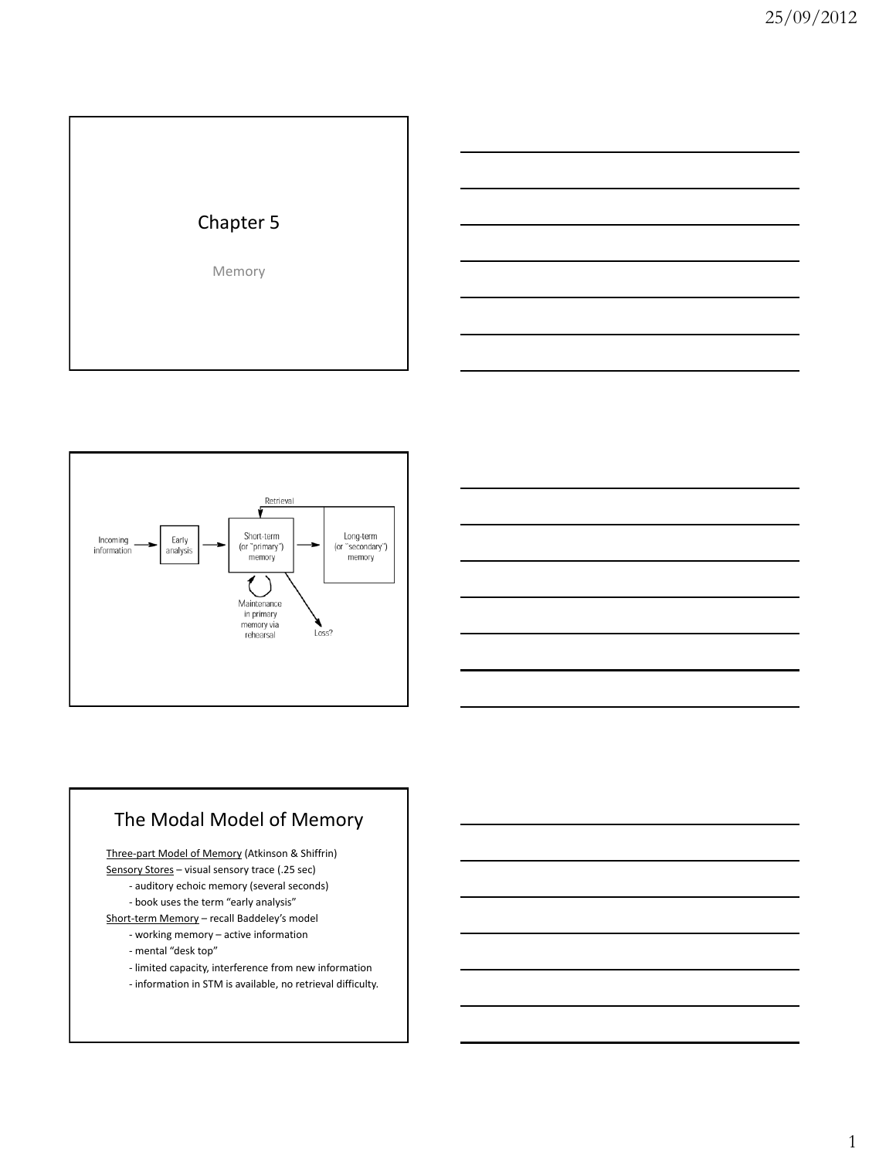





## The Modal Model of Memory

Three-part Model of Memory (Atkinson & Shiffrin)

- Sensory Stores visual sensory trace (.25 sec)
	- auditory echoic memory (several seconds)
	- book uses the term "early analysis"

Short-term Memory – recall Baddeley's model

- working memory active information
- mental "desk top"
- limited capacity, interference from new information
- information in STM is available, no retrieval difficulty.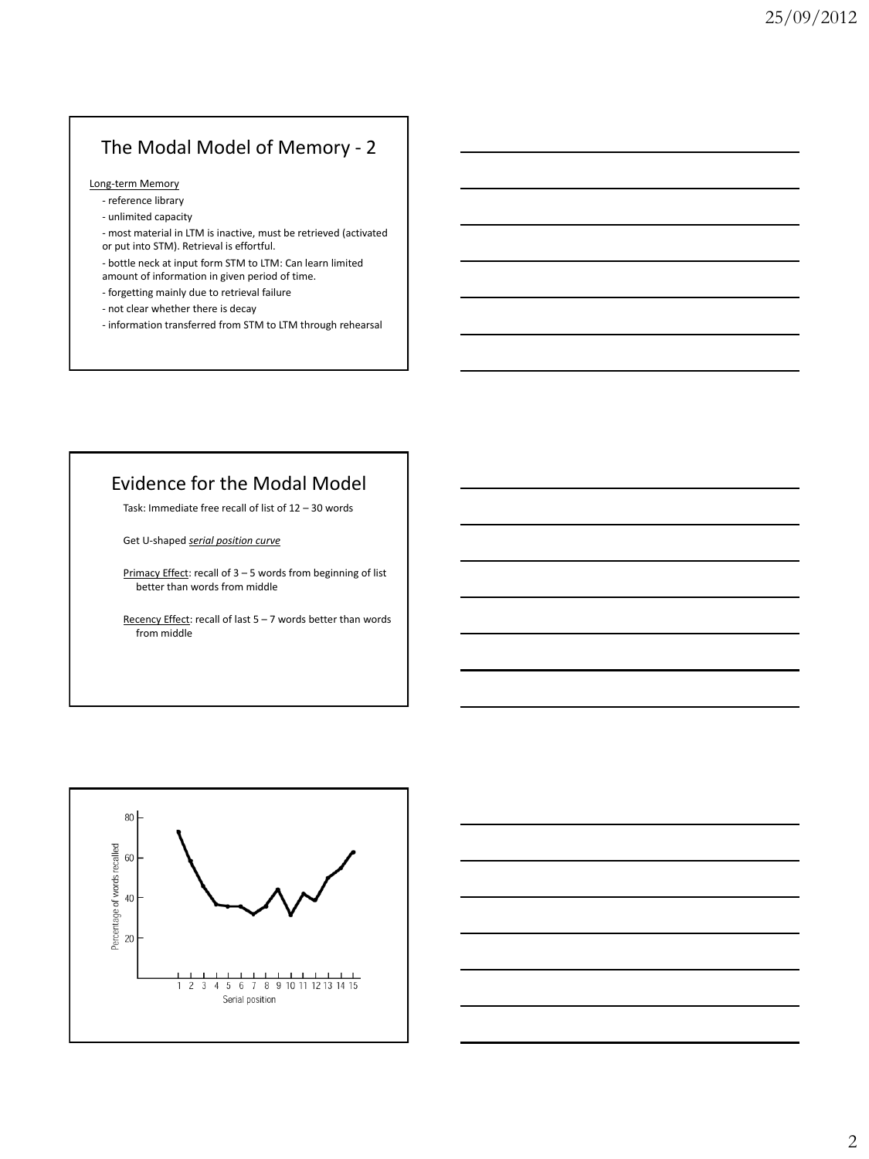# The Modal Model of Memory - 2

#### Long-term Memory

- reference library
- unlimited capacity
- most material in LTM is inactive, must be retrieved (activated or put into STM). Retrieval is effortful.
- bottle neck at input form STM to LTM: Can learn limited
- amount of information in given period of time.
- forgetting mainly due to retrieval failure
- not clear whether there is decay
- information transferred from STM to LTM through rehearsal

## Evidence for the Modal Model

Task: Immediate free recall of list of 12 – 30 words

Get U-shaped *serial position curve*

Primacy Effect: recall of 3 - 5 words from beginning of list better than words from middle

Recency Effect: recall of last  $5 - 7$  words better than words from middle



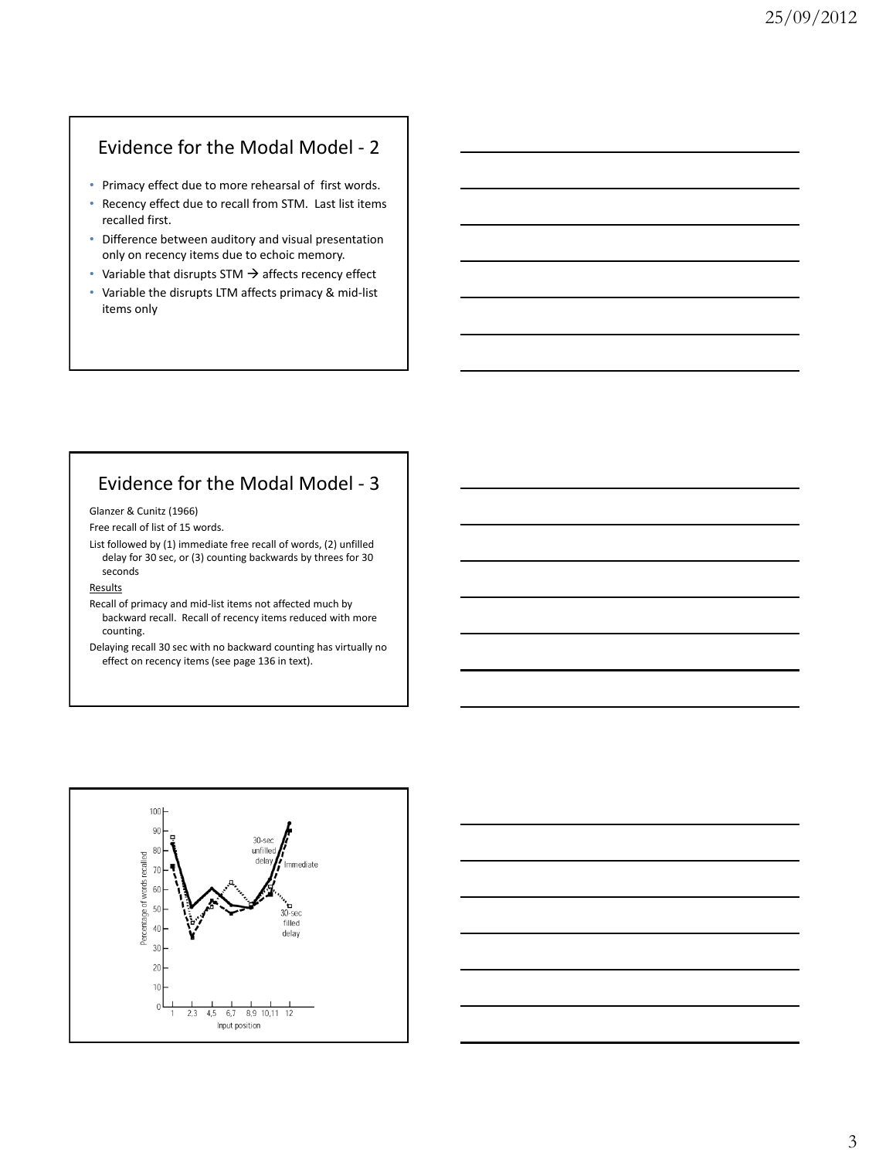## Evidence for the Modal Model - 2

- Primacy effect due to more rehearsal of first words.
- Recency effect due to recall from STM. Last list items recalled first.
- Difference between auditory and visual presentation only on recency items due to echoic memory.
- Variable that disrupts STM  $\rightarrow$  affects recency effect
- Variable the disrupts LTM affects primacy & mid-list items only

## Evidence for the Modal Model - 3

Glanzer & Cunitz (1966)

Free recall of list of 15 words.

List followed by (1) immediate free recall of words, (2) unfilled delay for 30 sec, or (3) counting backwards by threes for 30 seconds

#### **Results**

Recall of primacy and mid-list items not affected much by backward recall. Recall of recency items reduced with more counting.

Delaying recall 30 sec with no backward counting has virtually no effect on recency items (see page 136 in text).



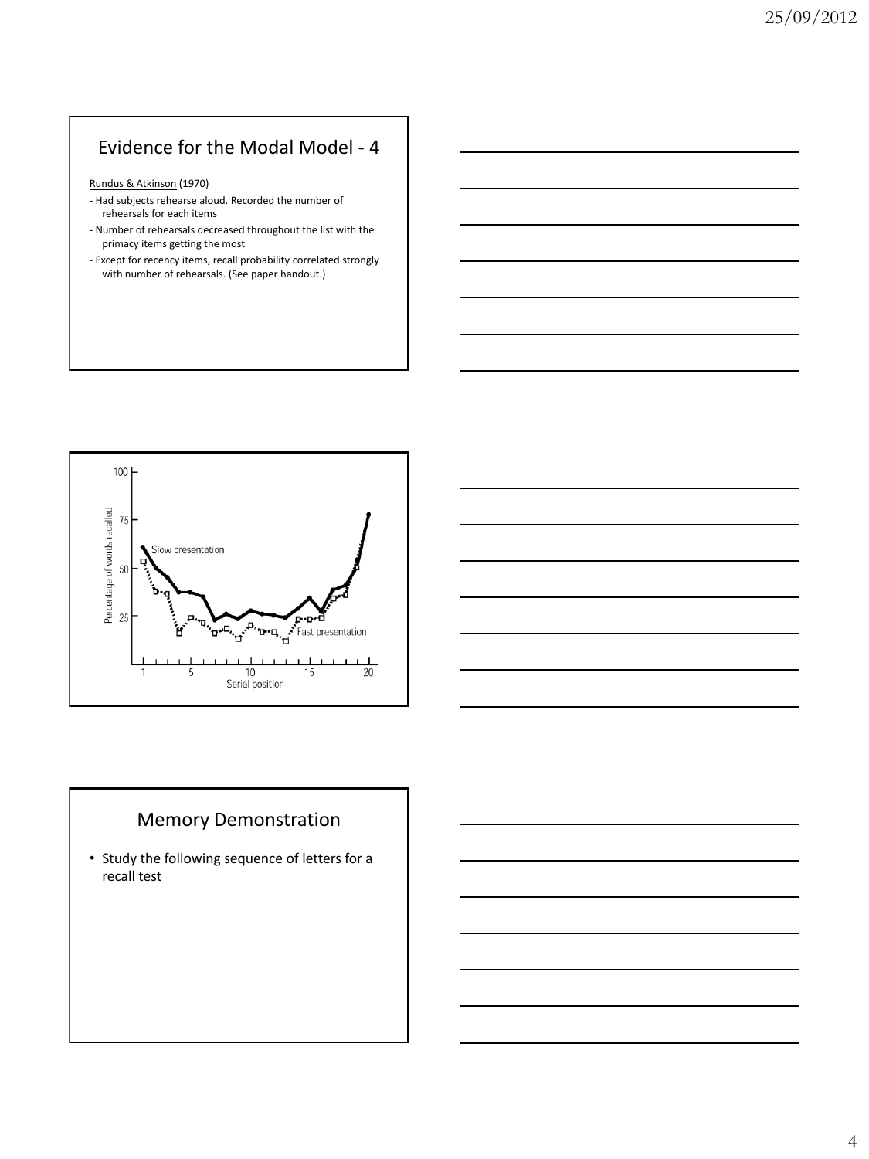# Evidence for the Modal Model - 4

Rundus & Atkinson (1970)

- Had subjects rehearse aloud. Recorded the number of rehearsals for each items
- Number of rehearsals decreased throughout the list with the primacy items getting the most
- Except for recency items, recall probability correlated strongly with number of rehearsals. (See paper handout.)





## Memory Demonstration

• Study the following sequence of letters for a recall test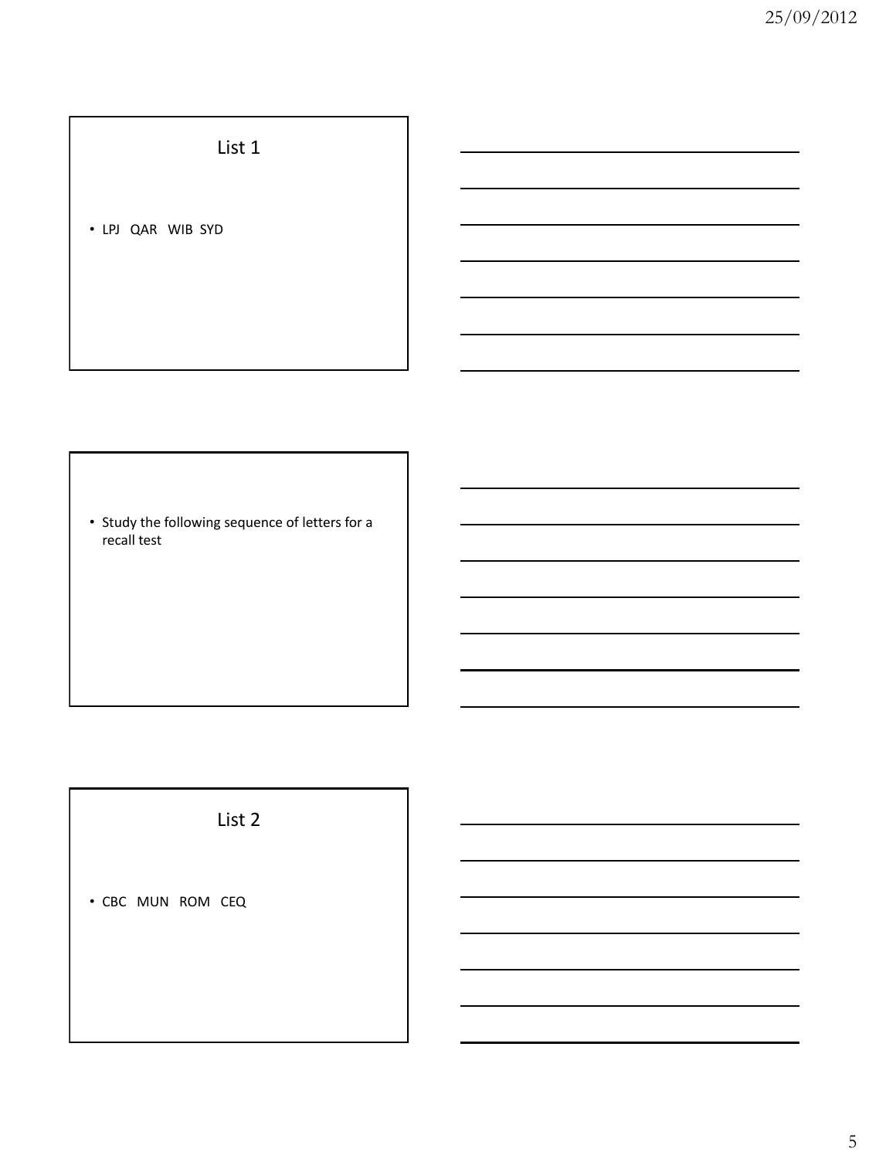List 1

• LPJ QAR WIB SYD

• Study the following sequence of letters for a recall test

List 2

• CBC MUN ROM CEQ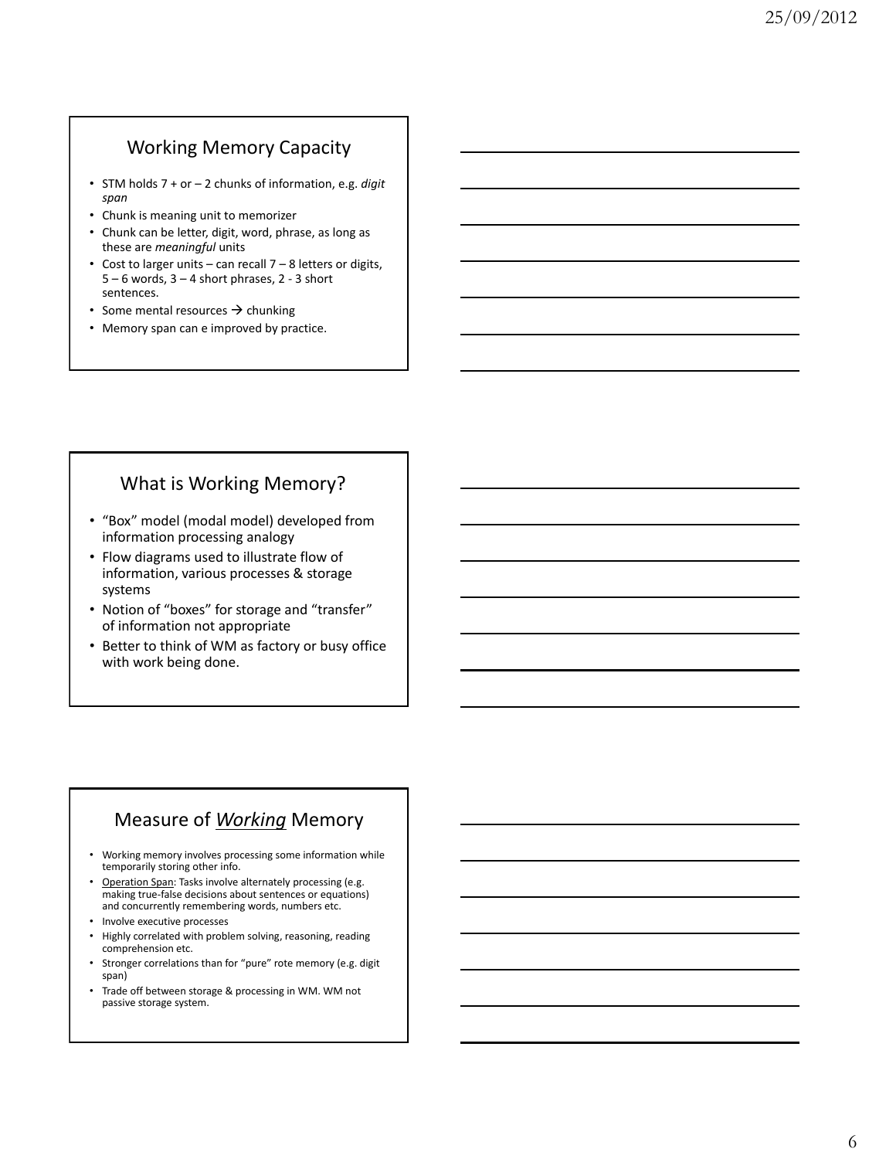## Working Memory Capacity

- STM holds 7 + or 2 chunks of information, e.g. *digit span*
- Chunk is meaning unit to memorizer
- Chunk can be letter, digit, word, phrase, as long as these are *meaningful* units
- Cost to larger units can recall 7 8 letters or digits,  $5 - 6$  words,  $3 - 4$  short phrases,  $2 - 3$  short sentences.
- Some mental resources  $\rightarrow$  chunking
- Memory span can e improved by practice.

## What is Working Memory?

- "Box" model (modal model) developed from information processing analogy
- Flow diagrams used to illustrate flow of information, various processes & storage systems
- Notion of "boxes" for storage and "transfer" of information not appropriate
- Better to think of WM as factory or busy office with work being done.

## Measure of *Working* Memory

- Working memory involves processing some information while temporarily storing other info.
- Operation Span: Tasks involve alternately processing (e.g. making true-false decisions about sentences or equations) and concurrently remembering words, numbers etc.
- Involve executive processes
- Highly correlated with problem solving, reasoning, reading comprehension etc.
- Stronger correlations than for "pure" rote memory (e.g. digit span)
- Trade off between storage & processing in WM. WM not passive storage system.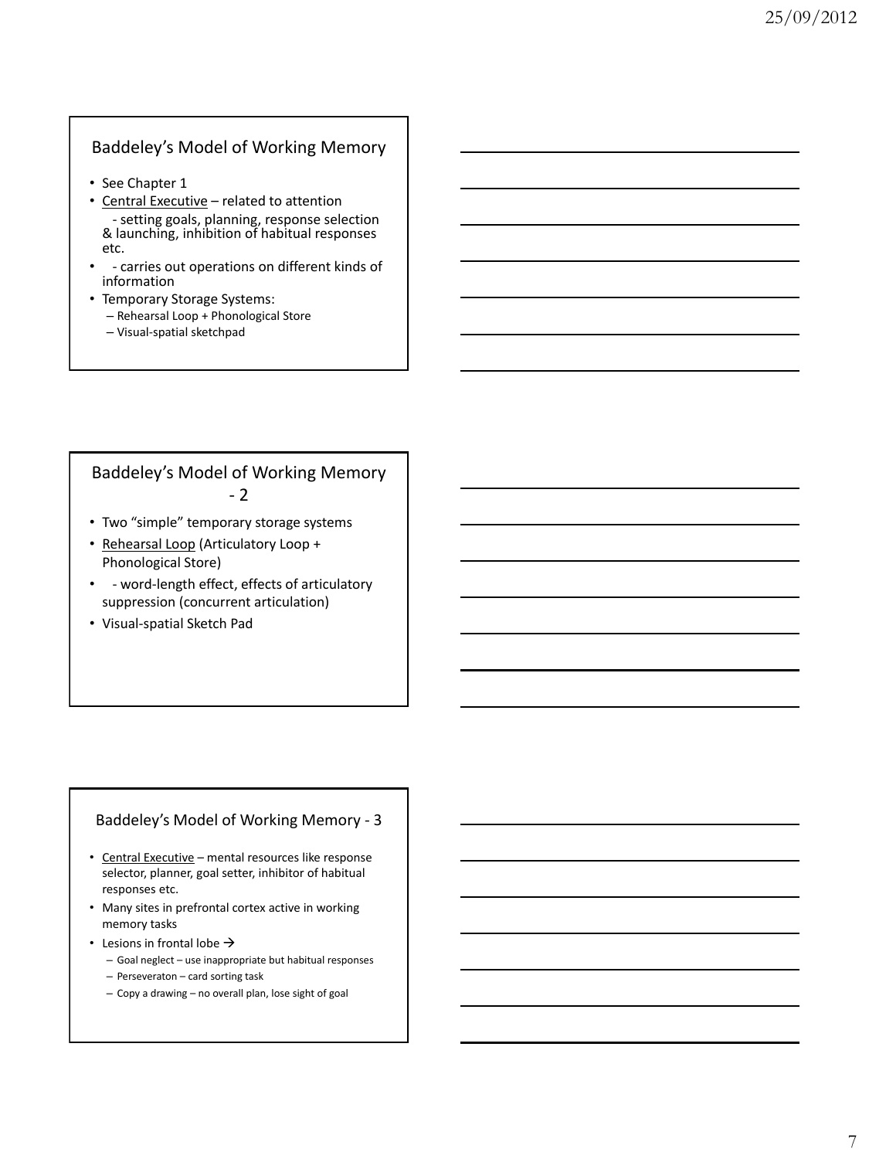### Baddeley's Model of Working Memory

- See Chapter 1
- Central Executive related to attention - setting goals, planning, response selection & launching, inhibition of habitual responses etc.
- - carries out operations on different kinds of information
- Temporary Storage Systems:
	- Rehearsal Loop + Phonological Store
	- Visual-spatial sketchpad

### Baddeley's Model of Working Memory - 2

- Two "simple" temporary storage systems
- Rehearsal Loop (Articulatory Loop + Phonological Store)
- - word-length effect, effects of articulatory suppression (concurrent articulation)
- Visual-spatial Sketch Pad

#### Baddeley's Model of Working Memory - 3

- Central Executive mental resources like response selector, planner, goal setter, inhibitor of habitual responses etc.
- Many sites in prefrontal cortex active in working memory tasks
- Lesions in frontal lobe  $\rightarrow$ 
	- Goal neglect use inappropriate but habitual responses
	- Perseveraton card sorting task
	- Copy a drawing no overall plan, lose sight of goal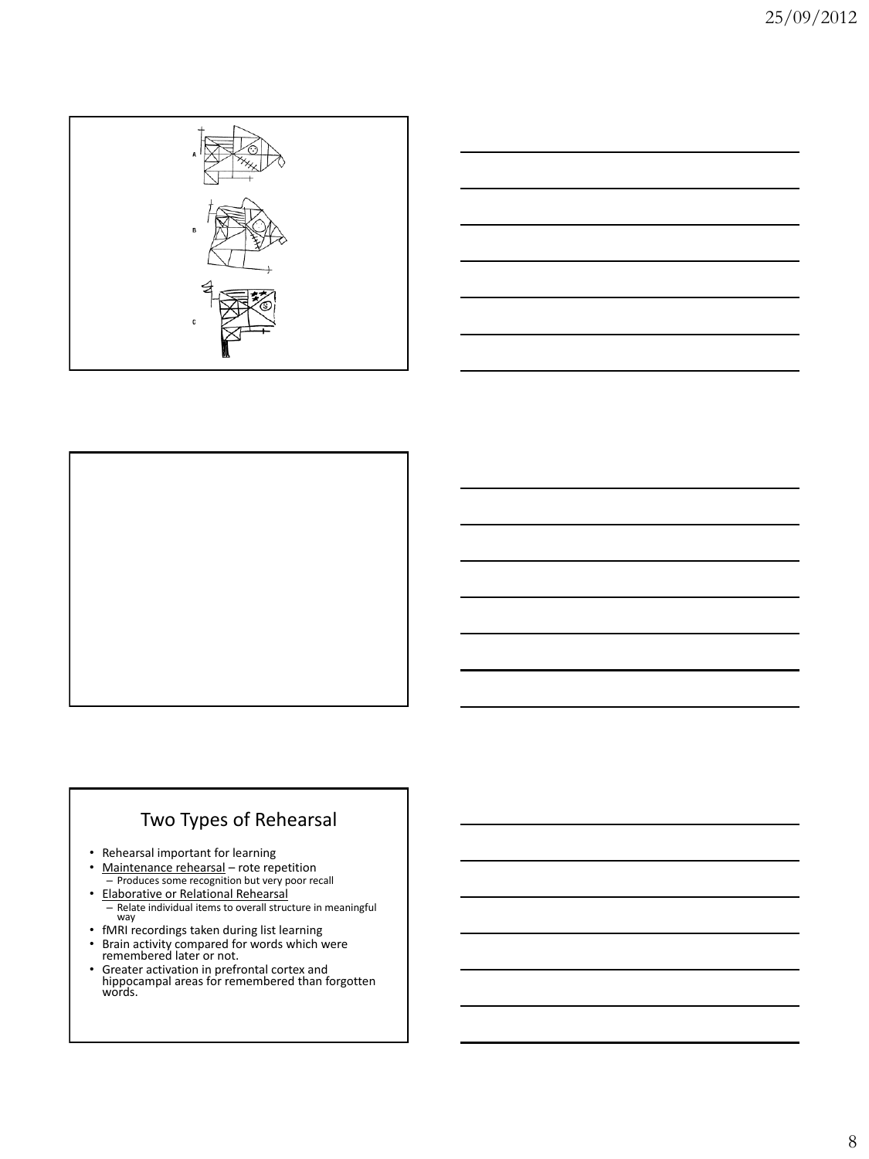





# Two Types of Rehearsal

- Rehearsal important for learning
- Maintenance rehearsal rote repetition – Produces some recognition but very poor recall
- Elaborative or Relational Rehearsal – Relate individual items to overall structure in meaningful way
- fMRI recordings taken during list learning
- Brain activity compared for words which were remembered later or not.
- Greater activation in prefrontal cortex and hippocampal areas for remembered than forgotten words.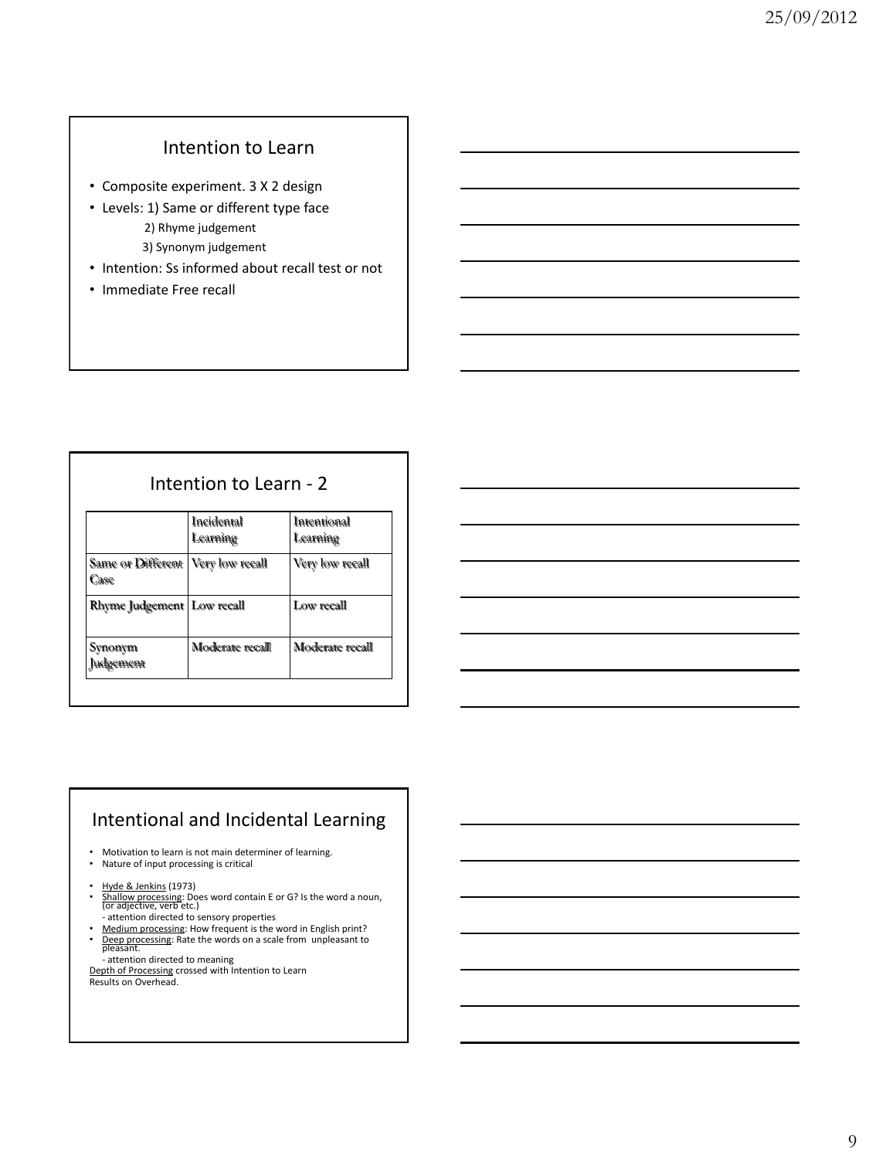# Intention to Learn

- Composite experiment. 3 X 2 design
- Levels: 1) Same or different type face 2) Rhyme judgement 3) Synonym judgement
- Intention: Ss informed about recall test or not
- Immediate Free recall

### Intention to Learn - 2

|                                             | Incidental<br>Learning | Intentional<br>Learning |
|---------------------------------------------|------------------------|-------------------------|
| Same or Different   Very low recall<br>Case |                        | Very low recall         |
| Rhyme Judgement   Low recall                |                        | Low recall              |
| Synonym<br>Judgement                        | Moderate recall        | Moderate recall         |



## Intentional and Incidental Learning

- Motivation to learn is not main determiner of learning. • Nature of input processing is critical
- 
- Hyde & Jenkins (1973)<br>• Shallow processing: Does word contain E or G? Is the word a noun,<br>| Gr adjective, verb etc.)
- attention directed to sensory properties<br>• <u>Medium processing</u>: How frequent is the word in English print?<br>• <u>Deep processing</u>: Rate the words on a scale from unpleasant to<br>pleasant.
- attention directed to meaning<br><u>Depth of Processin</u>g crossed with Intention to Learn<br>Results on Overhead.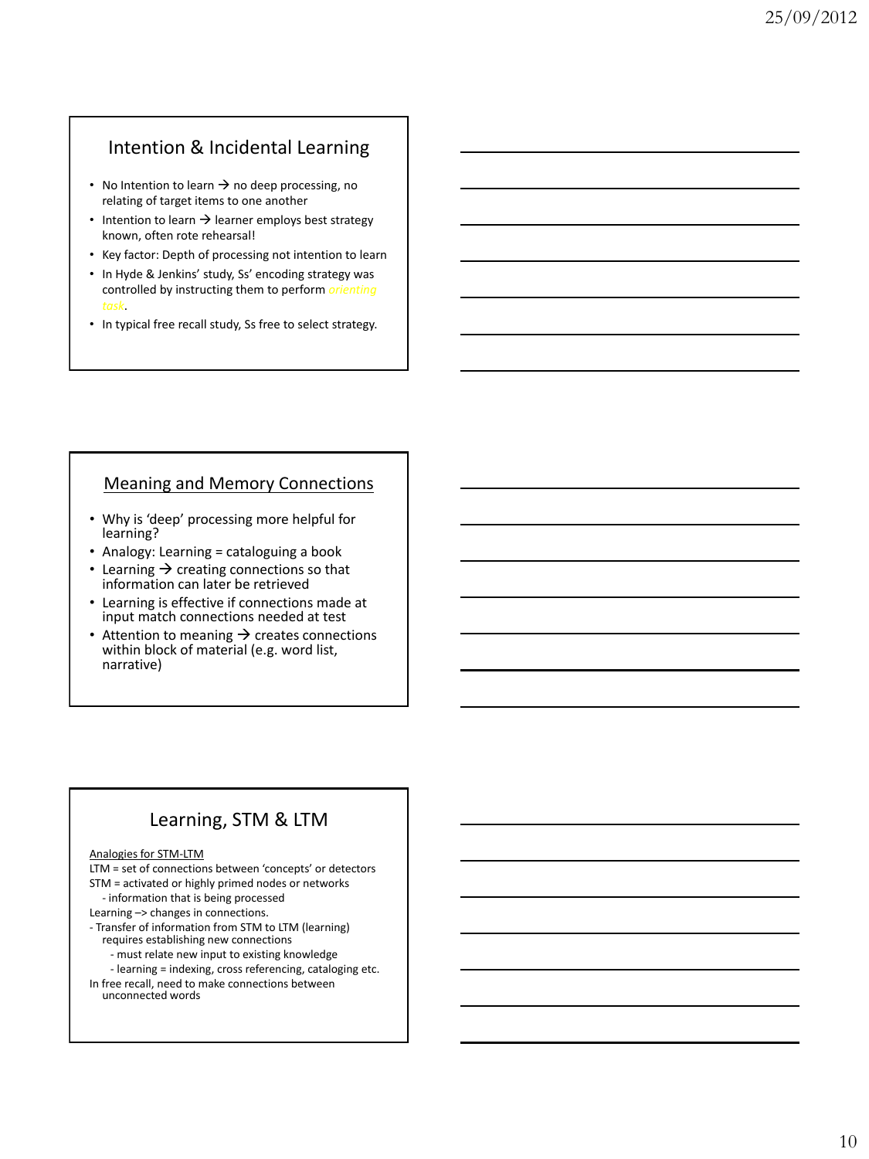## Intention & Incidental Learning

- No Intention to learn  $\rightarrow$  no deep processing, no relating of target items to one another
- Intention to learn  $\rightarrow$  learner employs best strategy known, often rote rehearsal!
- Key factor: Depth of processing not intention to learn
- In Hyde & Jenkins' study, Ss' encoding strategy was controlled by instructing them to perform *orienting task*.
- In typical free recall study, Ss free to select strategy.

### Meaning and Memory Connections

- Why is 'deep' processing more helpful for learning?
- Analogy: Learning = cataloguing a book
- Learning  $\rightarrow$  creating connections so that information can later be retrieved
- Learning is effective if connections made at input match connections needed at test
- Attention to meaning  $\rightarrow$  creates connections within block of material (e.g. word list, narrative)

## Learning, STM & LTM

#### Analogies for STM-LTM

LTM = set of connections between 'concepts' or detectors

- STM = activated or highly primed nodes or networks - information that is being processed
- 
- Learning –> changes in connections.
- Transfer of information from STM to LTM (learning) requires establishing new connections
	- must relate new input to existing knowledge
- learning = indexing, cross referencing, cataloging etc. In free recall, need to make connections between
	- unconnected words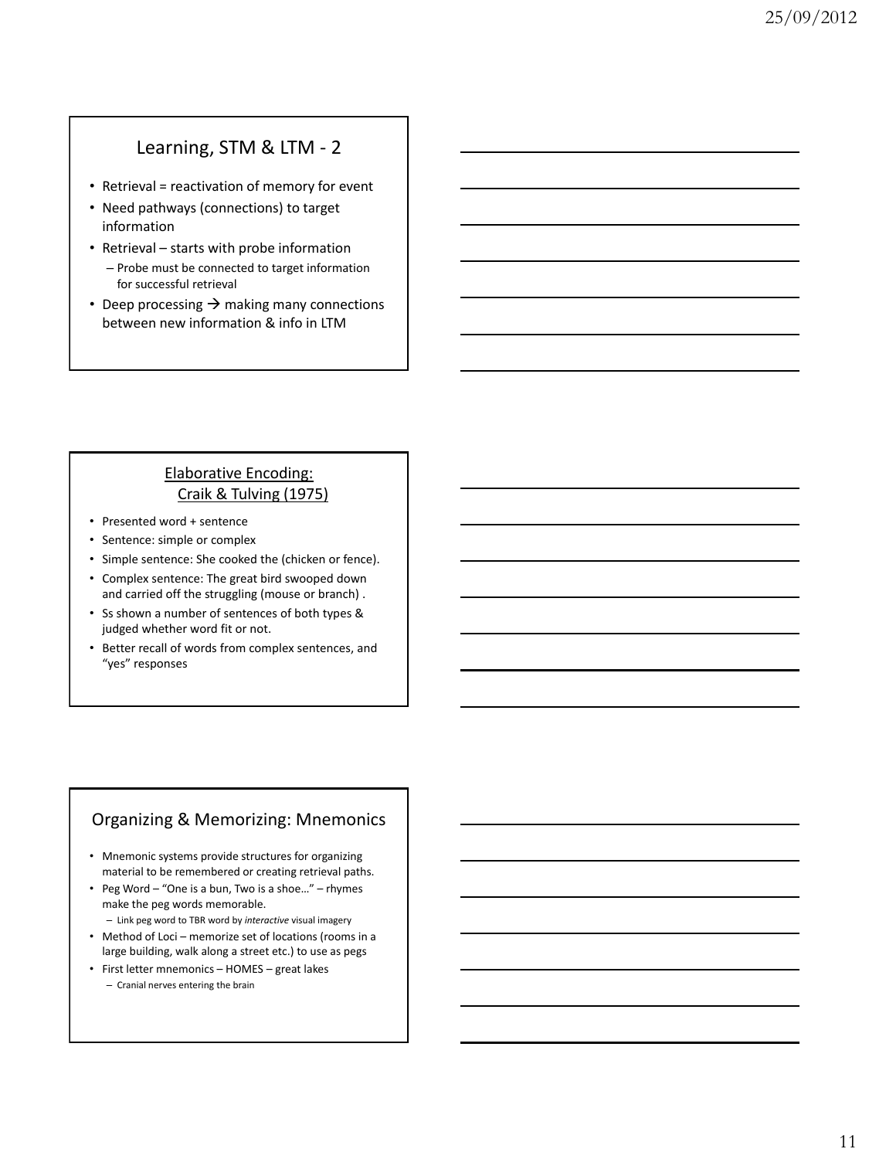## Learning, STM & LTM - 2

- Retrieval = reactivation of memory for event
- Need pathways (connections) to target information
- Retrieval starts with probe information
	- Probe must be connected to target information for successful retrieval
- Deep processing  $\rightarrow$  making many connections between new information & info in LTM

### Elaborative Encoding: Craik & Tulving (1975)

- Presented word + sentence
- Sentence: simple or complex
- Simple sentence: She cooked the (chicken or fence).
- Complex sentence: The great bird swooped down and carried off the struggling (mouse or branch) .
- Ss shown a number of sentences of both types & judged whether word fit or not.
- Better recall of words from complex sentences, and "yes" responses

### Organizing & Memorizing: Mnemonics

- Mnemonic systems provide structures for organizing material to be remembered or creating retrieval paths.
- Peg Word "One is a bun, Two is a shoe…" rhymes make the peg words memorable.
- Link peg word to TBR word by *interactive* visual imagery • Method of Loci – memorize set of locations (rooms in a large building, walk along a street etc.) to use as pegs
- First letter mnemonics HOMES great lakes – Cranial nerves entering the brain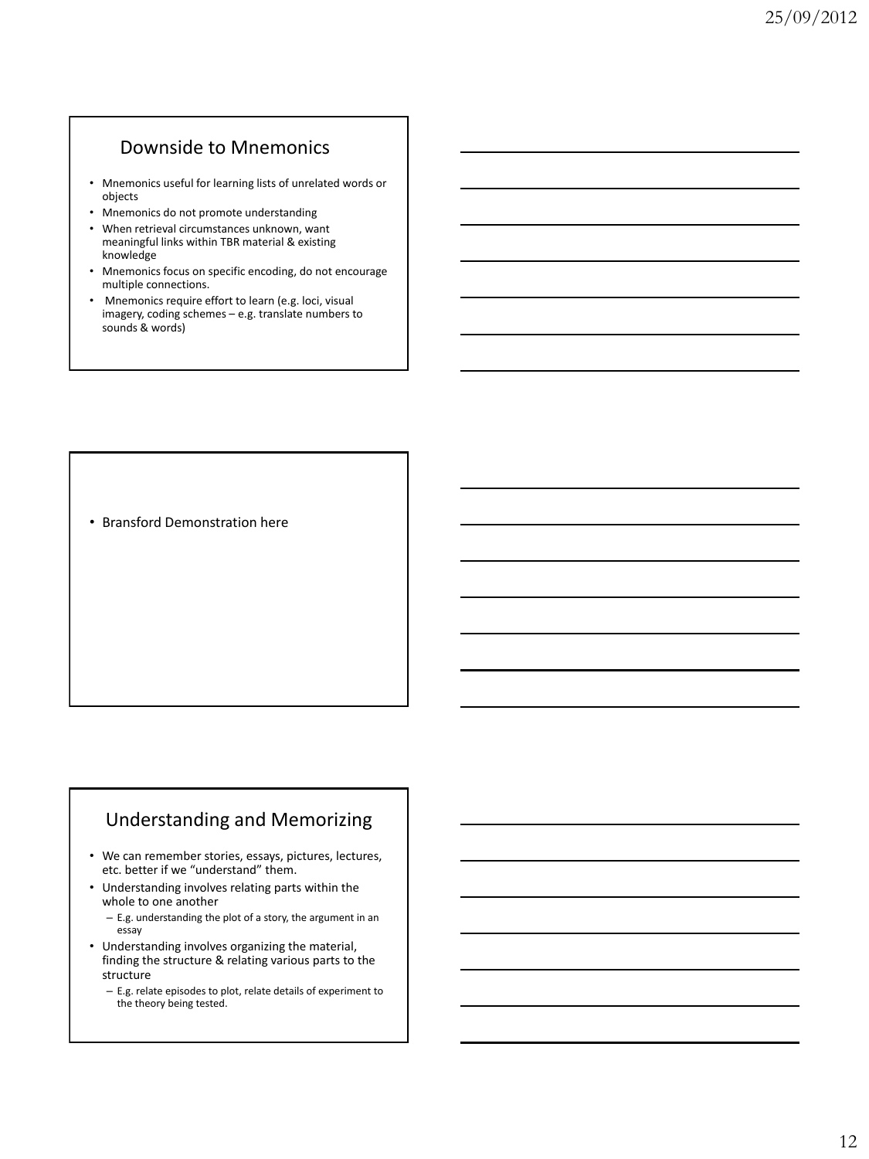## Downside to Mnemonics

- Mnemonics useful for learning lists of unrelated words or objects
- Mnemonics do not promote understanding
- When retrieval circumstances unknown, want meaningful links within TBR material & existing knowledge
- Mnemonics focus on specific encoding, do not encourage multiple connections.
- Mnemonics require effort to learn (e.g. loci, visual imagery, coding schemes – e.g. translate numbers to sounds & words)

• Bransford Demonstration here

### Understanding and Memorizing

- We can remember stories, essays, pictures, lectures, etc. better if we "understand" them.
- Understanding involves relating parts within the whole to one another
	- E.g. understanding the plot of a story, the argument in an essay
- Understanding involves organizing the material, finding the structure & relating various parts to the structure
	- E.g. relate episodes to plot, relate details of experiment to the theory being tested.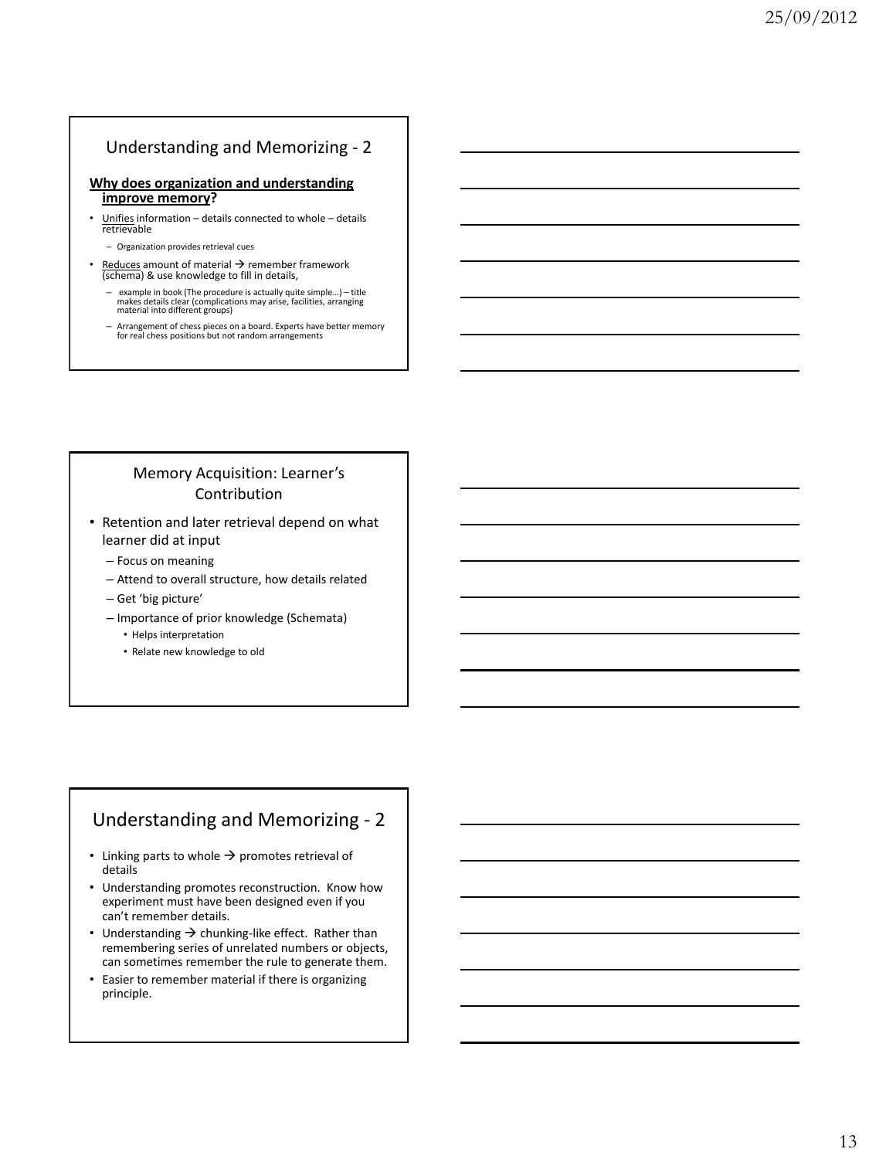### Understanding and Memorizing - 2

#### **Why does organization and understanding improve memory?**

- Unifies information details connected to whole details retrievable
	- Organization provides retrieval cues

Reduces amount of material  $\rightarrow$  remember framework (schema) & use knowledge to fill in details,

- example in book (The procedure is actually quite simple…) title makes details clear (complications may arise, facilities, arranging material into different groups)
- Arrangement of chess pieces on a board. Experts have better memory for real chess positions but not random arrangements

### Memory Acquisition: Learner's Contribution

- Retention and later retrieval depend on what learner did at input
	- Focus on meaning
	- Attend to overall structure, how details related
	- Get 'big picture'
	- Importance of prior knowledge (Schemata)
		- Helps interpretation
		- Relate new knowledge to old

## Understanding and Memorizing - 2

- Linking parts to whole  $\rightarrow$  promotes retrieval of details
- Understanding promotes reconstruction. Know how experiment must have been designed even if you can't remember details.
- Understanding  $\rightarrow$  chunking-like effect. Rather than remembering series of unrelated numbers or objects, can sometimes remember the rule to generate them.
- Easier to remember material if there is organizing principle.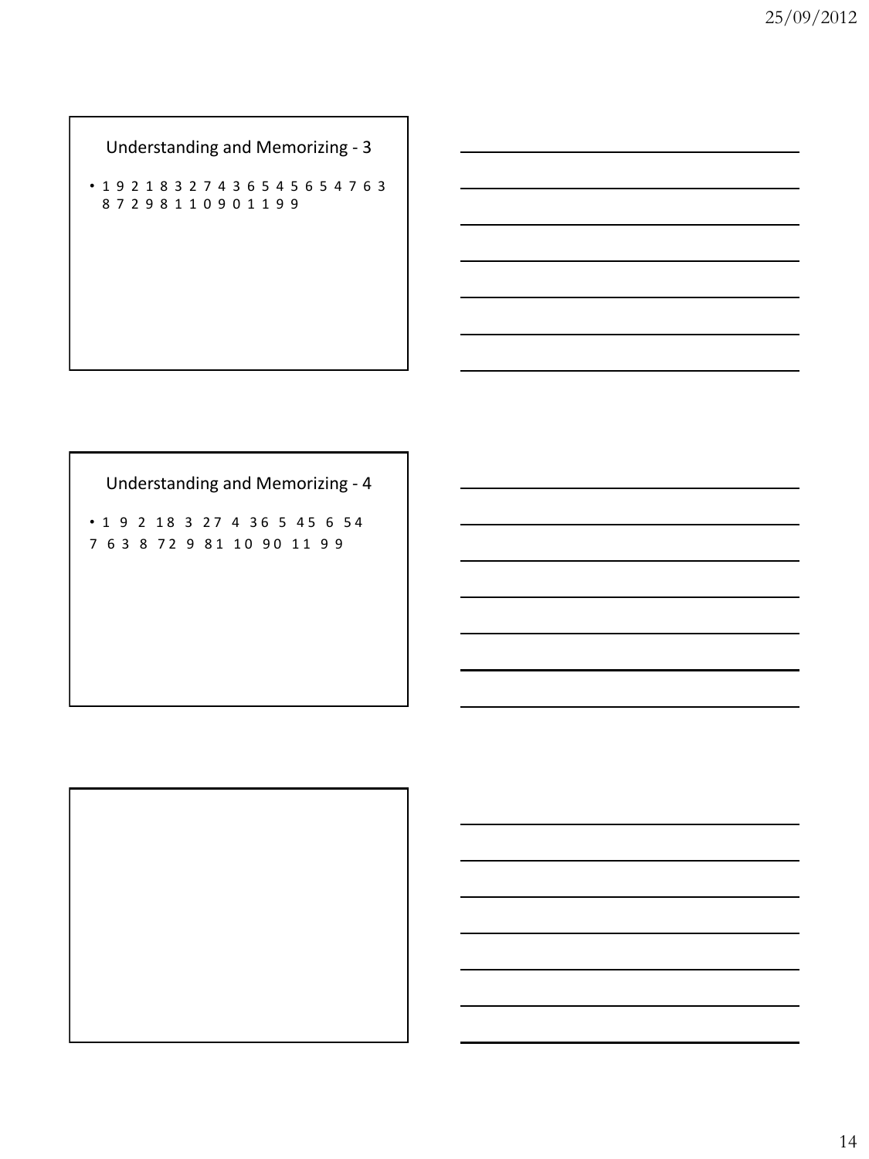Understanding and Memorizing - 3

• 1 9 2 1 8 3 2 7 4 3 6 5 4 5 6 5 4 7 6 3 8 7 2 9 8 1 1 0 9 0 1 1 9 9

Understanding and Memorizing - 4

• 1 9 2 1 8 3 2 7 4 3 6 5 4 5 6 5 4 7 6 3 8 7 2 9 8 1 1 0 9 0 1 1 9 9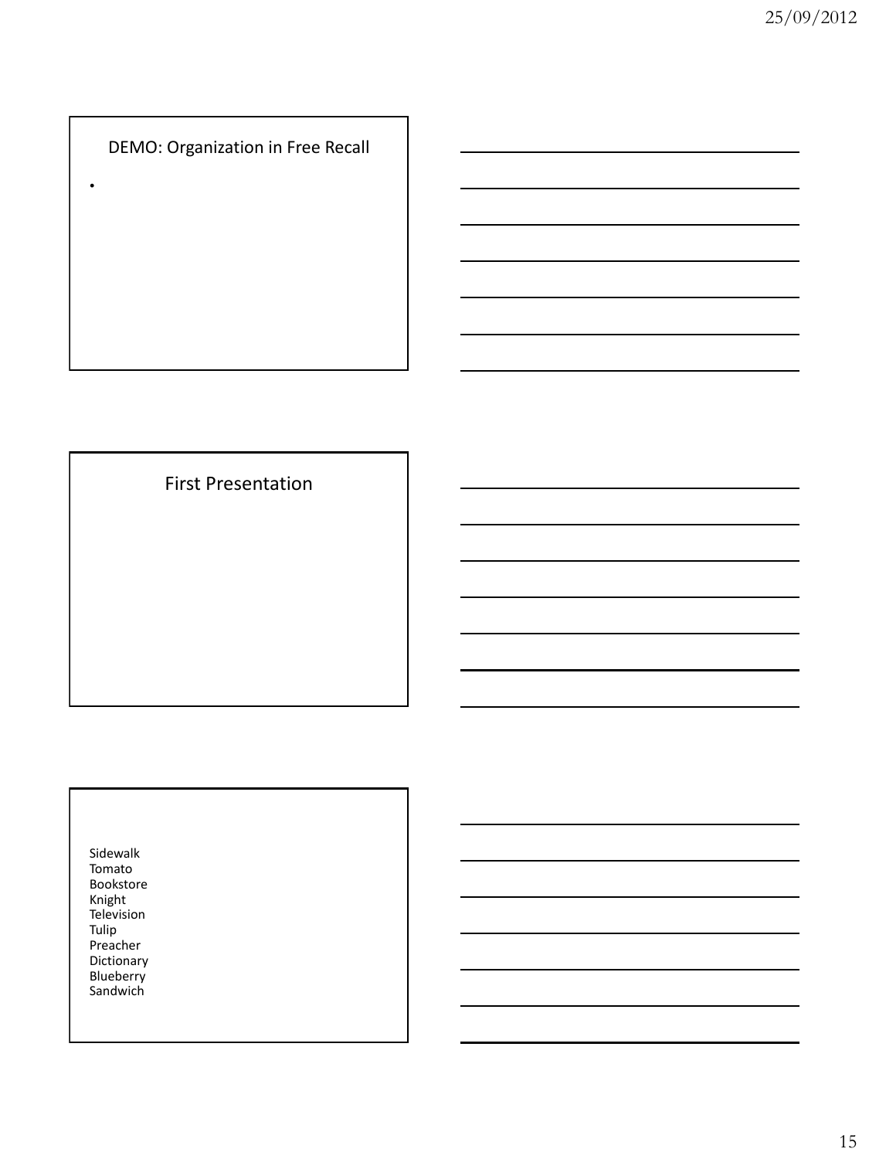DEMO: Organization in Free Recall

•

First Presentation

Sidewalk Tomato Bookstore Knight Television Tulip Preacher Dictionary **Blueberry Sandwich**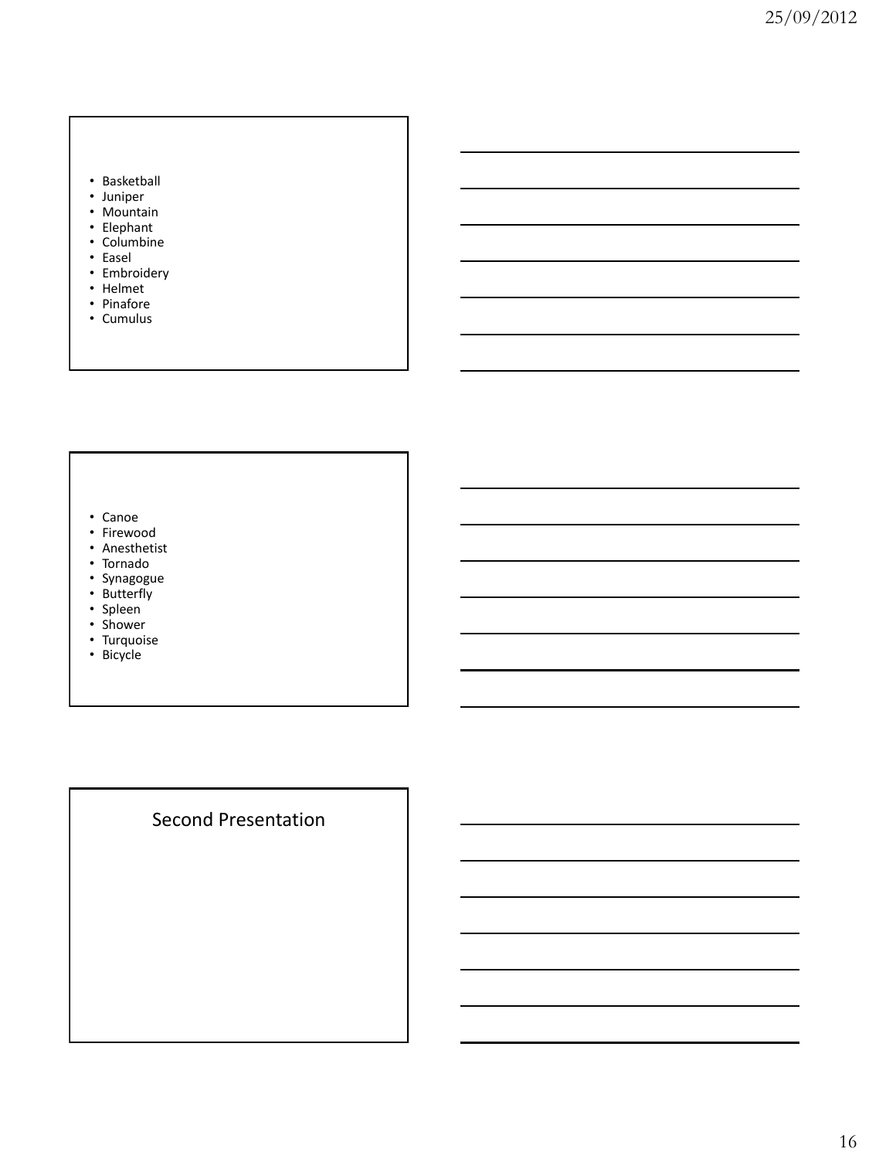#### • Basketball

- Juniper
- Mountain
- Elephant
- Columbine
- Easel
- Embroidery
- Helmet
- Pinafore
- Cumulus

#### • Canoe

- Firewood
- Anesthetist
- Tornado
- Synagogue
- Butterfly
- Spleen
- Shower
- Turquoise
- Bicycle

# Second Presentation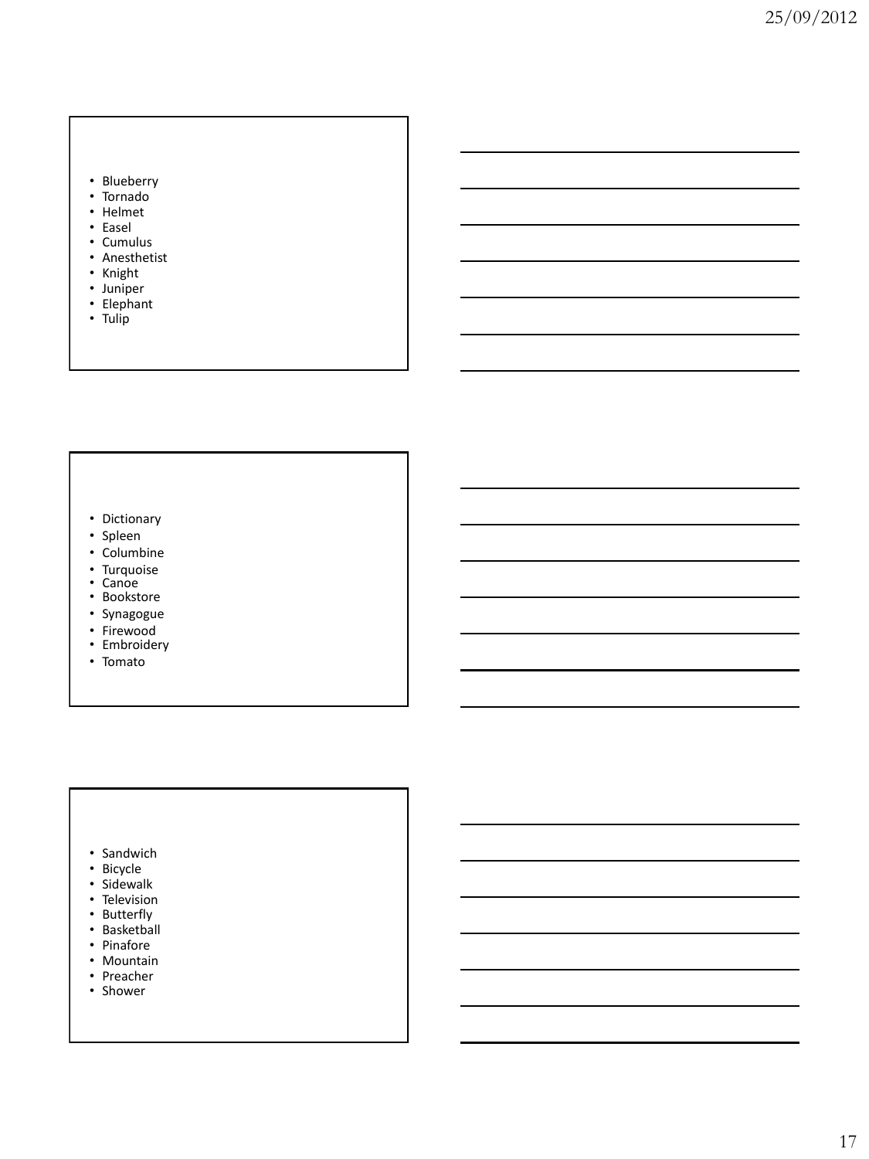#### • Blueberry

- Tornado
- Helmet
- Easel
- Cumulus
- Anesthetist
- Knight
- Juniper
- Elephant • Tulip

- 
- Dictionary
- Spleen
- Columbine<br>• Turquoise
- 
- 
- Canoe<br>• Bookstore
- Synagogue<br>• Firewood
- 
- Embroidery
- Tomato

- Sandwich
- Bicycle
- Sidewalk
- Television
- Butterfly
- Basketball
- Pinafore
- Mountain
- Preacher
- Shower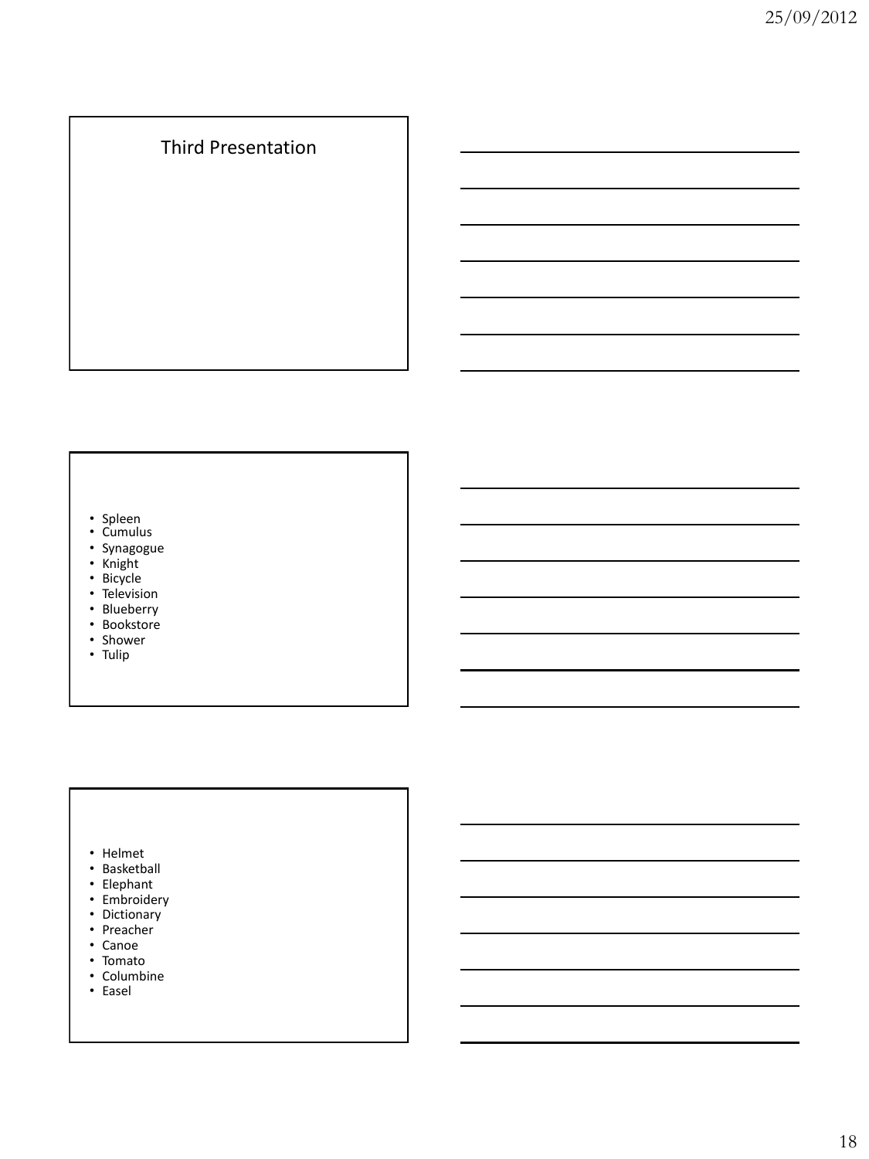# Third Presentation

#### • Spleen

- Cumulus
- Synagogue
- Knight
- Bicycle
- Television
- Blueberry
- Bookstore
- Shower
- Tulip

#### • Helmet

- Basketball
- Elephant
- Embroidery
- Dictionary
- Preacher
- Canoe
- Tomato
- Columbine
- Easel